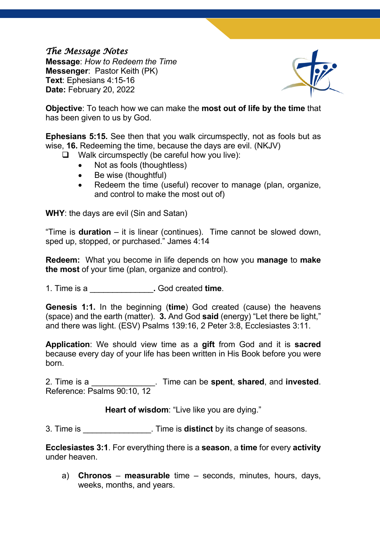## *The Message Notes*

**Message**: *How to Redeem the Time* **Messenger**: Pastor Keith (PK) **Text**: Ephesians 4:15-16 **Date:** February 20, 2022



**Objective**: To teach how we can make the **most out of life by the time** that has been given to us by God.

**Ephesians 5:15.** See then that you walk circumspectly, not as fools but as wise, **16.** Redeeming the time, because the days are evil. (NKJV)

- $\Box$  Walk circumspectly (be careful how you live):
	- Not as fools (thoughtless)
	- Be wise (thoughtful)
	- Redeem the time (useful) recover to manage (plan, organize, and control to make the most out of)

**WHY**: the days are evil (Sin and Satan)

"Time is **duration** – it is linear (continues). Time cannot be slowed down, sped up, stopped, or purchased." James 4:14

**Redeem:** What you become in life depends on how you **manage** to **make the most** of your time (plan, organize and control).

1. Time is a \_\_\_\_\_\_\_\_\_\_\_\_\_\_**.** God created **time**.

**Genesis 1:1.** In the beginning (**time**) God created (cause) the heavens (space) and the earth (matter). **3.** And God **said** (energy) "Let there be light," and there was light. (ESV) Psalms 139:16, 2 Peter 3:8, Ecclesiastes 3:11.

**Application**: We should view time as a **gift** from God and it is **sacred** because every day of your life has been written in His Book before you were born.

2. Time is a \_\_\_\_\_\_\_\_\_\_\_\_\_\_. Time can be **spent**, **shared**, and **invested**. Reference: Psalms 90:10, 12

**Heart of wisdom**: "Live like you are dying."

3. Time is **3.** Time is **distinct** by its change of seasons.

**Ecclesiastes 3:1**. For everything there is a **season**, a **time** for every **activity** under heaven.

a) **Chronos** – **measurable** time – seconds, minutes, hours, days, weeks, months, and years.